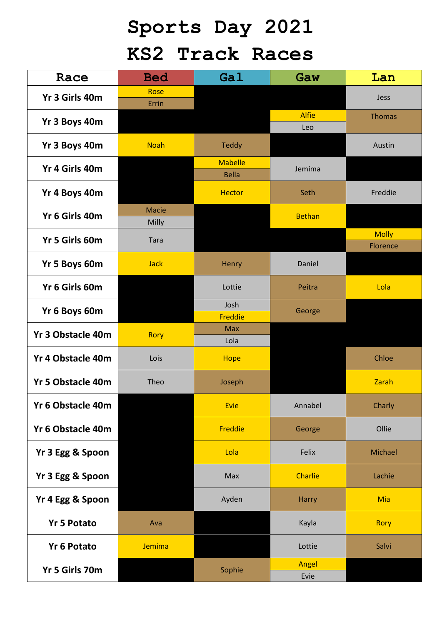## **Sports Day 2021 KS2 Track Races**

| Race                     | <b>Bed</b>     | Gal                          | Gaw            | Lan           |
|--------------------------|----------------|------------------------------|----------------|---------------|
| Yr 3 Girls 40m           | Rose<br>Errin  |                              |                | Jess          |
| Yr 3 Boys 40m            |                |                              | <b>Alfie</b>   | <b>Thomas</b> |
|                          |                |                              | Leo            |               |
| Yr 3 Boys 40m            | <b>Noah</b>    | Teddy                        |                | Austin        |
| Yr 4 Girls 40m           |                | <b>Mabelle</b>               | Jemima         |               |
|                          |                | <b>Bella</b>                 |                |               |
| Yr 4 Boys 40m            |                | <b>Hector</b>                | Seth           | Freddie       |
| Yr 6 Girls 40m           | Macie<br>Milly |                              | <b>Bethan</b>  |               |
| Yr 5 Girls 60m           |                |                              |                | <b>Molly</b>  |
|                          | Tara           |                              |                | Florence      |
| Yr 5 Boys 60m            | <b>Jack</b>    | Henry                        | Daniel         |               |
| Yr 6 Girls 60m           |                | Lottie                       | Peitra         | Lola          |
| Yr 6 Boys 60m            |                | Josh                         | George         |               |
|                          |                | <b>Freddie</b><br><b>Max</b> |                |               |
| <b>Yr 3 Obstacle 40m</b> | <b>Rory</b>    | Lola                         |                |               |
| <b>Yr 4 Obstacle 40m</b> | Lois           | <b>Hope</b>                  |                | Chloe         |
| <b>Yr 5 Obstacle 40m</b> | Theo           | Joseph                       |                | Zarah         |
| Yr 6 Obstacle 40m        |                | <b>Evie</b>                  | Annabel        | Charly        |
| Yr 6 Obstacle 40m        |                | <b>Freddie</b>               | George         | Ollie         |
| Yr 3 Egg & Spoon         |                | Lola                         | Felix          | Michael       |
| Yr 3 Egg & Spoon         |                | Max                          | <b>Charlie</b> | Lachie        |
| Yr 4 Egg & Spoon         |                | Ayden                        | Harry          | <b>Mia</b>    |
| <b>Yr 5 Potato</b>       | Ava            |                              | Kayla          | <b>Rory</b>   |
| <b>Yr 6 Potato</b>       | Jemima         |                              | Lottie         | Salvi         |
| Yr 5 Girls 70m           |                | Sophie                       | Angel<br>Evie  |               |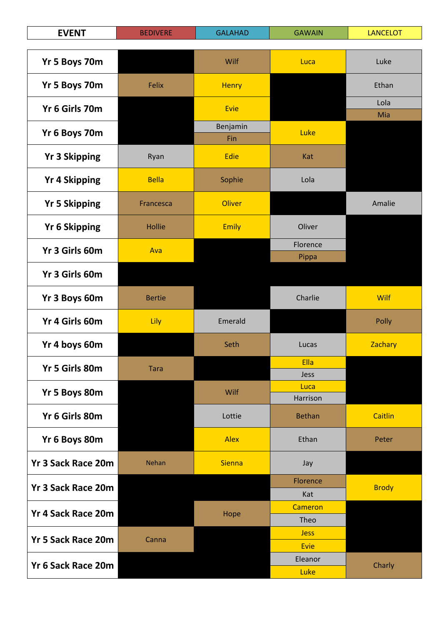| <b>EVENT</b>              | <b>BEDIVERE</b> | <b>GALAHAD</b> | <b>GAWAIN</b>   | <b>LANCELOT</b> |
|---------------------------|-----------------|----------------|-----------------|-----------------|
| Yr 5 Boys 70m             |                 | Wilf           | Luca            | Luke            |
|                           |                 |                |                 |                 |
| Yr 5 Boys 70m             | Felix           | <b>Henry</b>   |                 | Ethan           |
| Yr 6 Girls 70m            |                 | Evie           |                 | Lola<br>Mia     |
| Yr 6 Boys 70m             |                 | Benjamin       | Luke            |                 |
|                           |                 | Fin            |                 |                 |
| <b>Yr 3 Skipping</b>      | Ryan            | Edie           | Kat             |                 |
| <b>Yr 4 Skipping</b>      | <b>Bella</b>    | Sophie         | Lola            |                 |
| <b>Yr 5 Skipping</b>      | Francesca       | <b>Oliver</b>  |                 | Amalie          |
| <b>Yr 6 Skipping</b>      | <b>Hollie</b>   | <b>Emily</b>   | Oliver          |                 |
| Yr 3 Girls 60m            | Ava             |                | Florence        |                 |
|                           |                 |                | Pippa           |                 |
| Yr 3 Girls 60m            |                 |                |                 |                 |
| Yr 3 Boys 60m             | <b>Bertie</b>   |                | Charlie         | <b>Wilf</b>     |
| Yr 4 Girls 60m            | Lily            | Emerald        |                 | Polly           |
| Yr 4 boys 60m             |                 | Seth           | Lucas           | Zachary         |
| Yr 5 Girls 80m            | <b>Tara</b>     |                | Ella            |                 |
|                           |                 |                | Jess<br>Luca    |                 |
| Yr 5 Boys 80m             |                 | Wilf           | Harrison        |                 |
| Yr 6 Girls 80m            |                 | Lottie         | <b>Bethan</b>   | <b>Caitlin</b>  |
| Yr 6 Boys 80m             |                 | <b>Alex</b>    | Ethan           | Peter           |
| <b>Yr 3 Sack Race 20m</b> | Nehan           | <b>Sienna</b>  | Jay             |                 |
| <b>Yr 3 Sack Race 20m</b> |                 |                | Florence        | <b>Brody</b>    |
|                           |                 |                | Kat<br>Cameron  |                 |
| <b>Yr 4 Sack Race 20m</b> |                 | Hope           | Theo            |                 |
| <b>Yr 5 Sack Race 20m</b> |                 |                | <b>Jess</b>     |                 |
|                           | Canna           |                | Evie            |                 |
| Yr 6 Sack Race 20m        |                 |                | Eleanor<br>Luke | Charly          |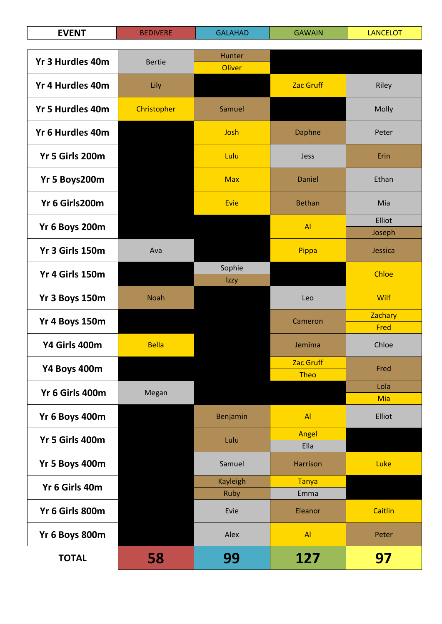| <b>EVENT</b>            | <b>BEDIVERE</b> | <b>GALAHAD</b>   | <b>GAWAIN</b>                   | <b>LANCELOT</b> |
|-------------------------|-----------------|------------------|---------------------------------|-----------------|
|                         |                 |                  |                                 |                 |
| <b>Yr 3 Hurdles 40m</b> | <b>Bertie</b>   | Hunter<br>Oliver |                                 |                 |
| Yr 4 Hurdles 40m        | Lily            |                  | <b>Zac Gruff</b>                | Riley           |
| <b>Yr 5 Hurdles 40m</b> | Christopher     | Samuel           |                                 | Molly           |
| Yr 6 Hurdles 40m        |                 | Josh             | <b>Daphne</b>                   | Peter           |
| Yr 5 Girls 200m         |                 | Lulu             | Jess                            | Erin            |
| Yr 5 Boys200m           |                 | <b>Max</b>       | Daniel                          | Ethan           |
| Yr 6 Girls200m          |                 | Evie             | <b>Bethan</b>                   | Mia             |
| Yr 6 Boys 200m          |                 |                  | AI                              | Elliot          |
|                         |                 |                  |                                 | Joseph          |
| Yr 3 Girls 150m         | Ava             |                  | Pippa                           | Jessica         |
| Yr 4 Girls 150m         |                 | Sophie<br>Izzy   |                                 | Chloe           |
| Yr 3 Boys 150m          | <b>Noah</b>     |                  | Leo                             | Wilf            |
| Yr 4 Boys 150m          |                 |                  | Cameron                         | Zachary         |
|                         |                 |                  |                                 | Fred            |
| Y4 Girls 400m           | <b>Bella</b>    |                  | Jemima                          | Chloe           |
| Y4 Boys 400m            |                 |                  | <b>Zac Gruff</b><br><b>Theo</b> | Fred            |
|                         |                 |                  |                                 | Lola            |
| Yr 6 Girls 400m         | Megan           |                  |                                 | <b>Mia</b>      |
| Yr 6 Boys 400m          |                 | Benjamin         | AI                              | Elliot          |
| Yr 5 Girls 400m         |                 | Lulu             | Angel<br>Ella                   |                 |
| Yr 5 Boys 400m          |                 | Samuel           | <b>Harrison</b>                 | Luke            |
| Yr 6 Girls 40m          |                 | <b>Kayleigh</b>  | <b>Tanya</b>                    |                 |
|                         |                 | Ruby             | Emma                            |                 |
| Yr 6 Girls 800m         |                 | Evie             | Eleanor                         | <b>Caitlin</b>  |
| Yr 6 Boys 800m          |                 | Alex             | AI                              | Peter           |
| <b>TOTAL</b>            | 58              | 99               | 127                             | 97              |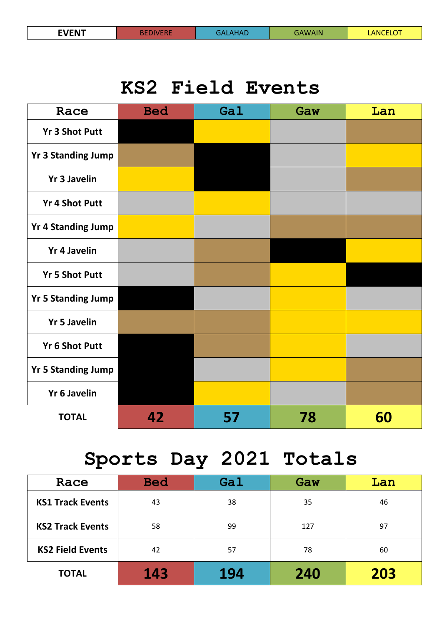## **KS2 Field Events**

| Race                      | <b>Bed</b> | Gal | Gaw | Lan |
|---------------------------|------------|-----|-----|-----|
| <b>Yr 3 Shot Putt</b>     |            |     |     |     |
| <b>Yr 3 Standing Jump</b> |            |     |     |     |
| <b>Yr 3 Javelin</b>       |            |     |     |     |
| <b>Yr 4 Shot Putt</b>     |            |     |     |     |
| <b>Yr 4 Standing Jump</b> |            |     |     |     |
| <b>Yr 4 Javelin</b>       |            |     |     |     |
| <b>Yr 5 Shot Putt</b>     |            |     |     |     |
| <b>Yr 5 Standing Jump</b> |            |     |     |     |
| <b>Yr 5 Javelin</b>       |            |     |     |     |
| <b>Yr 6 Shot Putt</b>     |            |     |     |     |
| <b>Yr 5 Standing Jump</b> |            |     |     |     |
| <b>Yr 6 Javelin</b>       |            |     |     |     |
| <b>TOTAL</b>              | 42         | 57  | 78  | 60  |

## **Sports Day 2021 Totals**

| Race                    | <b>Bed</b> | Gal | Gaw | Lan |
|-------------------------|------------|-----|-----|-----|
| <b>KS1 Track Events</b> | 43         | 38  | 35  | 46  |
| <b>KS2 Track Events</b> | 58         | 99  | 127 | 97  |
| <b>KS2 Field Events</b> | 42         | 57  | 78  | 60  |
| <b>TOTAL</b>            | 143        | 194 | 240 | 203 |